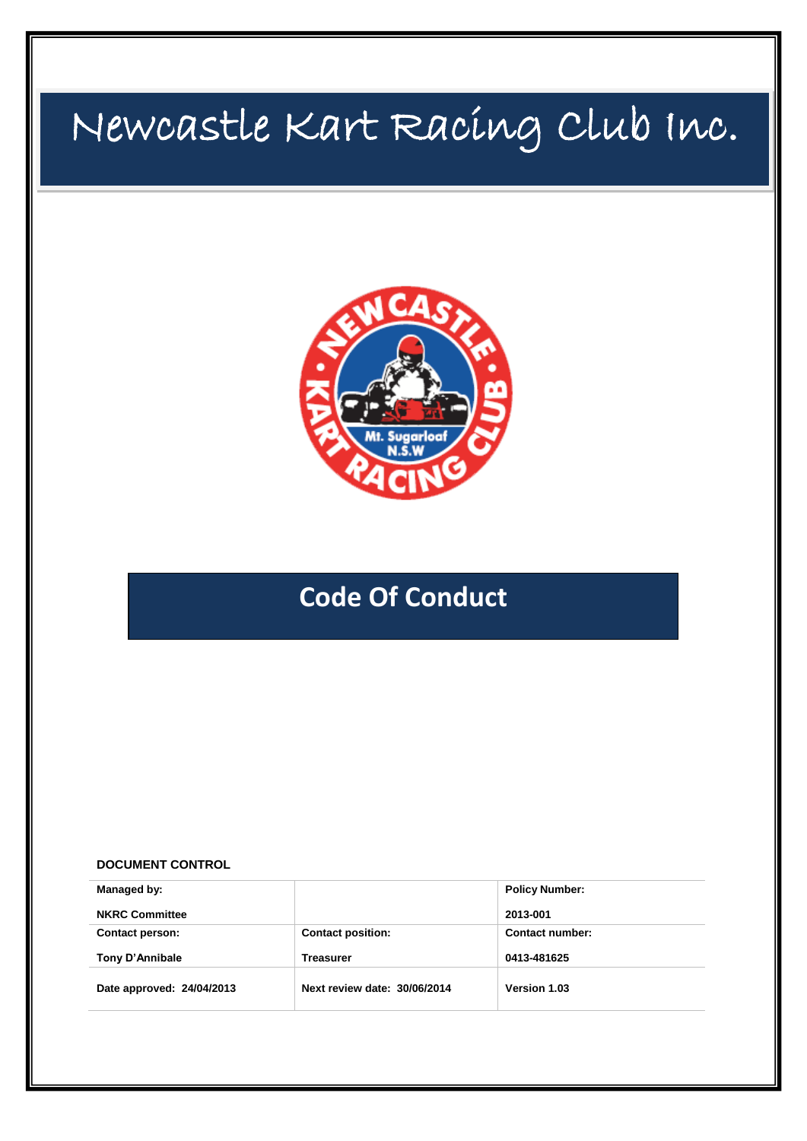# Newcastle Kart Racing Club Inc.



## **Code Of Conduct**

#### **DOCUMENT CONTROL**

| Managed by:               |                              | <b>Policy Number:</b> |
|---------------------------|------------------------------|-----------------------|
| <b>NKRC Committee</b>     |                              | 2013-001              |
| <b>Contact person:</b>    | <b>Contact position:</b>     | Contact number:       |
| Tony D'Annibale           | <b>Treasurer</b>             | 0413-481625           |
| Date approved: 24/04/2013 | Next review date: 30/06/2014 | Version 1.03          |